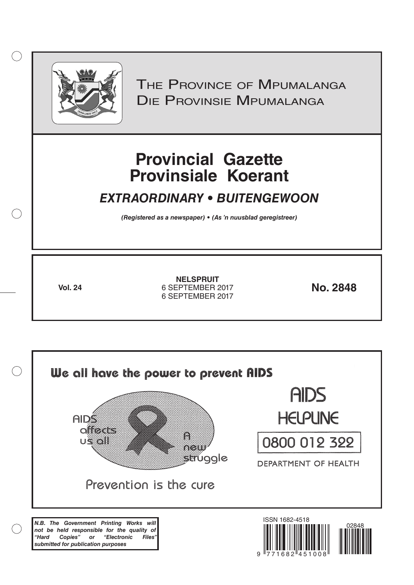

 $( )$ 

THE PROVINCE OF MPUMALANGA Die Provinsie Mpumalanga

# **Provincial Gazette Provinsiale Koerant**

## *EXTRAORDINARY • BUITENGEWOON*

*(Registered as a newspaper) • (As 'n nuusblad geregistreer)*

**Vol. 24 No. 2848** 6 SEPTEMBER 2017 **NELSPRUIT** 6 SEPTEMBER 2017

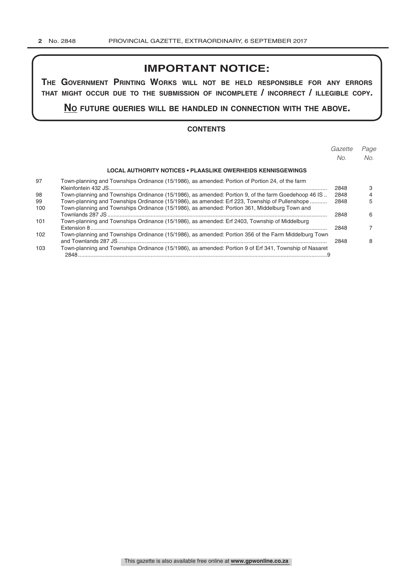### **IMPORTANT NOTICE:**

**The GovernmenT PrinTinG Works Will noT be held resPonsible for any errors ThaT miGhT occur due To The submission of incomPleTe / incorrecT / illeGible coPy.**

**no fuTure queries Will be handled in connecTion WiTh The above.**

#### **CONTENTS**

|           |                                                                                                                                                                                                | Gazette<br>No. | Page<br>No. |
|-----------|------------------------------------------------------------------------------------------------------------------------------------------------------------------------------------------------|----------------|-------------|
|           |                                                                                                                                                                                                |                |             |
|           | <b>LOCAL AUTHORITY NOTICES • PLAASLIKE OWERHEIDS KENNISGEWINGS</b>                                                                                                                             |                |             |
| 97        | Town-planning and Townships Ordinance (15/1986), as amended: Portion of Portion 24, of the farm                                                                                                | 2848           | 3           |
| 98        | Town-planning and Townships Ordinance (15/1986), as amended: Portion 9, of the farm Goedehoop 46 IS                                                                                            | 2848           |             |
| 99<br>100 | Town-planning and Townships Ordinance (15/1986), as amended: Erf 223, Township of Pullenshope<br>Town-planning and Townships Ordinance (15/1986), as amended: Portion 361, Middelburg Town and | 2848           | 5           |
|           |                                                                                                                                                                                                | 2848           | 6           |
| 101       | Town-planning and Townships Ordinance (15/1986), as amended: Erf 2403, Township of Middelburg                                                                                                  |                |             |
|           |                                                                                                                                                                                                | 2848           |             |
| 102       | Town-planning and Townships Ordinance (15/1986), as amended: Portion 356 of the Farm Middelburg Town                                                                                           | 2848           | 8           |
| 103       | Town-planning and Townships Ordinance (15/1986), as amended: Portion 9 of Erf 341, Township of Nasaret                                                                                         |                |             |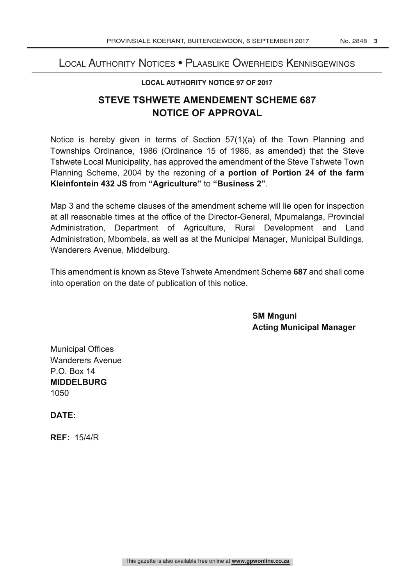### Local Authority Notices • Plaaslike Owerheids Kennisgewings

#### **LOCAL AUTHORITY NOTICE 97 OF 2017**

### **STEVE TSHWETE AMENDEMENT SCHEME 687 NOTICE OF APPROVAL**

Notice is hereby given in terms of Section 57(1)(a) of the Town Planning and Townships Ordinance, 1986 (Ordinance 15 of 1986, as amended) that the Steve Tshwete Local Municipality, has approved the amendment of the Steve Tshwete Town Planning Scheme, 2004 by the rezoning of **a portion of Portion 24 of the farm Kleinfontein 432 JS** from **"Agriculture"** to **"Business 2"**.

Map 3 and the scheme clauses of the amendment scheme will lie open for inspection at all reasonable times at the office of the Director-General, Mpumalanga, Provincial Administration, Department of Agriculture, Rural Development and Land Administration, Mbombela, as well as at the Municipal Manager, Municipal Buildings, Wanderers Avenue, Middelburg.

This amendment is known as Steve Tshwete Amendment Scheme **687** and shall come into operation on the date of publication of this notice.

> **SM Mnguni Acting Municipal Manager**

Municipal Offices Wanderers Avenue P.O. Box 14 **MIDDELBURG** 1050

**DATE:**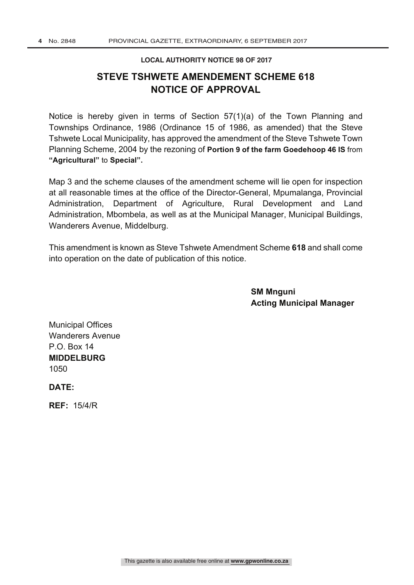#### **LOCAL AUTHORITY NOTICE 98 OF 2017**

### **STEVE TSHWETE AMENDEMENT SCHEME 618 NOTICE OF APPROVAL**

Notice is hereby given in terms of Section 57(1)(a) of the Town Planning and Townships Ordinance, 1986 (Ordinance 15 of 1986, as amended) that the Steve Tshwete Local Municipality, has approved the amendment of the Steve Tshwete Town Planning Scheme, 2004 by the rezoning of **Portion 9 of the farm Goedehoop 46 IS** from **"Agricultural"** to **Special".**

Map 3 and the scheme clauses of the amendment scheme will lie open for inspection at all reasonable times at the office of the Director-General, Mpumalanga, Provincial Administration, Department of Agriculture, Rural Development and Land Administration, Mbombela, as well as at the Municipal Manager, Municipal Buildings, Wanderers Avenue, Middelburg.

This amendment is known as Steve Tshwete Amendment Scheme **618** and shall come into operation on the date of publication of this notice.

> **SM Mnguni Acting Municipal Manager**

Municipal Offices Wanderers Avenue P.O. Box 14 **MIDDELBURG** 1050

#### **DATE:**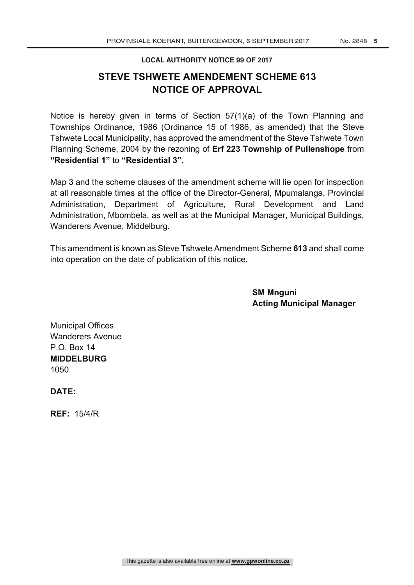#### **LOCAL AUTHORITY NOTICE 99 OF 2017**

### **STEVE TSHWETE AMENDEMENT SCHEME 613 NOTICE OF APPROVAL**

Notice is hereby given in terms of Section 57(1)(a) of the Town Planning and Townships Ordinance, 1986 (Ordinance 15 of 1986, as amended) that the Steve Tshwete Local Municipality, has approved the amendment of the Steve Tshwete Town Planning Scheme, 2004 by the rezoning of **Erf 223 Township of Pullenshope** from **"Residential 1"** to **"Residential 3"**.

Map 3 and the scheme clauses of the amendment scheme will lie open for inspection at all reasonable times at the office of the Director-General, Mpumalanga, Provincial Administration, Department of Agriculture, Rural Development and Land Administration, Mbombela, as well as at the Municipal Manager, Municipal Buildings, Wanderers Avenue, Middelburg.

This amendment is known as Steve Tshwete Amendment Scheme **613** and shall come into operation on the date of publication of this notice.

> **SM Mnguni Acting Municipal Manager**

Municipal Offices Wanderers Avenue P.O. Box 14 **MIDDELBURG** 1050

**DATE:**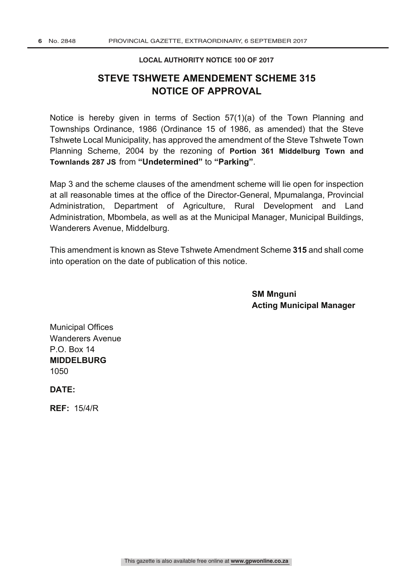#### **LOCAL AUTHORITY NOTICE 100 OF 2017**

### **STEVE TSHWETE AMENDEMENT SCHEME 315 NOTICE OF APPROVAL**

Notice is hereby given in terms of Section 57(1)(a) of the Town Planning and Townships Ordinance, 1986 (Ordinance 15 of 1986, as amended) that the Steve Tshwete Local Municipality, has approved the amendment of the Steve Tshwete Town Planning Scheme, 2004 by the rezoning of **Portion 361 Middelburg Town and Townlands 287 JS** from **"Undetermined"** to **"Parking"**.

Map 3 and the scheme clauses of the amendment scheme will lie open for inspection at all reasonable times at the office of the Director-General, Mpumalanga, Provincial Administration, Department of Agriculture, Rural Development and Land Administration, Mbombela, as well as at the Municipal Manager, Municipal Buildings, Wanderers Avenue, Middelburg.

This amendment is known as Steve Tshwete Amendment Scheme **315** and shall come into operation on the date of publication of this notice.

> **SM Mnguni Acting Municipal Manager**

Municipal Offices Wanderers Avenue  $P$  O. Box 14 **MIDDELBURG** 1050

#### **DATE:**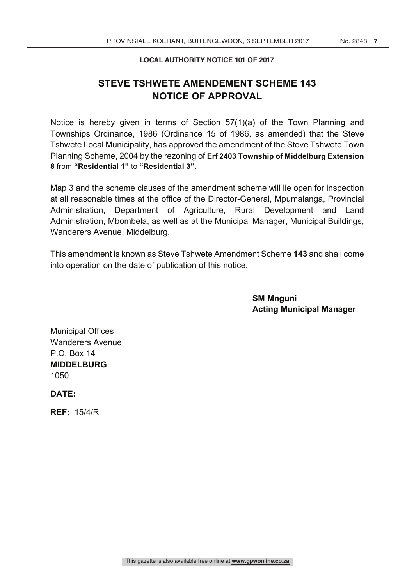#### **LOCAL AUTHORITY NOTICE 101 OF 2017**

### **STEVE TSHWETE AMENDEMENT SCHEME 143 NOTICE OF APPROVAL**

Notice is hereby given in terms of Section 57(1)(a) of the Town Planning and Townships Ordinance, 1986 (Ordinance 15 of 1986, as amended) that the Steve Tshwete Local Municipality, has approved the amendment of the Steve Tshwete Town Planning Scheme, 2004 by the rezoning of **Erf 2403 Township of Middelburg Extension 8** from **"Residential 1"** to **"Residential 3".**

Map 3 and the scheme clauses of the amendment scheme will lie open for inspection at all reasonable times at the office of the Director-General, Mpumalanga, Provincial Administration, Department of Agriculture, Rural Development and Land Administration, Mbombela, as well as at the Municipal Manager, Municipal Buildings, Wanderers Avenue, Middelburg.

This amendment is known as Steve Tshwete Amendment Scheme **143** and shall come into operation on the date of publication of this notice.

> **SM Mnguni Acting Municipal Manager**

Municipal Offices Wanderers Avenue P.O. Box 14 **MIDDELBURG** 1050

#### **DATE:**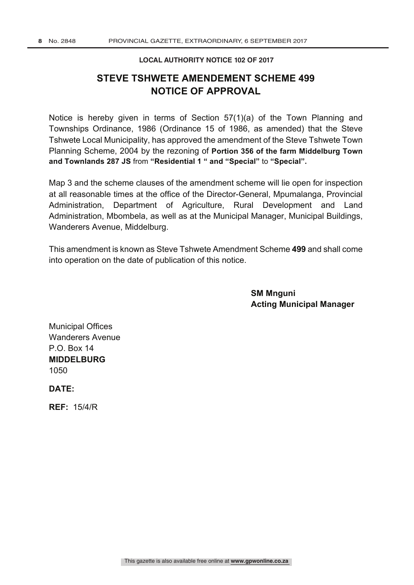#### **LOCAL AUTHORITY NOTICE 102 OF 2017**

### **STEVE TSHWETE AMENDEMENT SCHEME 499 NOTICE OF APPROVAL**

Notice is hereby given in terms of Section 57(1)(a) of the Town Planning and Townships Ordinance, 1986 (Ordinance 15 of 1986, as amended) that the Steve Tshwete Local Municipality, has approved the amendment of the Steve Tshwete Town Planning Scheme, 2004 by the rezoning of **Portion 356 of the farm Middelburg Town and Townlands 287 JS** from **"Residential 1 " and "Special"** to **"Special".**

Map 3 and the scheme clauses of the amendment scheme will lie open for inspection at all reasonable times at the office of the Director-General, Mpumalanga, Provincial Administration, Department of Agriculture, Rural Development and Land Administration, Mbombela, as well as at the Municipal Manager, Municipal Buildings, Wanderers Avenue, Middelburg.

This amendment is known as Steve Tshwete Amendment Scheme **499** and shall come into operation on the date of publication of this notice.

> **SM Mnguni Acting Municipal Manager**

Municipal Offices Wanderers Avenue P.O. Box 14 **MIDDELBURG** 1050

**DATE:**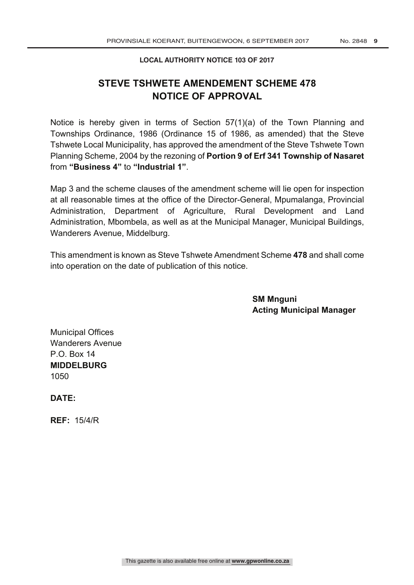#### **LOCAL AUTHORITY NOTICE 103 OF 2017**

### **STEVE TSHWETE AMENDEMENT SCHEME 478 NOTICE OF APPROVAL**

Notice is hereby given in terms of Section 57(1)(a) of the Town Planning and Townships Ordinance, 1986 (Ordinance 15 of 1986, as amended) that the Steve Tshwete Local Municipality, has approved the amendment of the Steve Tshwete Town Planning Scheme, 2004 by the rezoning of **Portion 9 of Erf 341 Township of Nasaret** from **"Business 4"** to **"Industrial 1"**.

Map 3 and the scheme clauses of the amendment scheme will lie open for inspection at all reasonable times at the office of the Director-General, Mpumalanga, Provincial Administration, Department of Agriculture, Rural Development and Land Administration, Mbombela, as well as at the Municipal Manager, Municipal Buildings, Wanderers Avenue, Middelburg.

This amendment is known as Steve Tshwete Amendment Scheme **478** and shall come into operation on the date of publication of this notice.

> **SM Mnguni Acting Municipal Manager**

Municipal Offices Wanderers Avenue P.O. Box 14 **MIDDELBURG** 1050

**DATE:**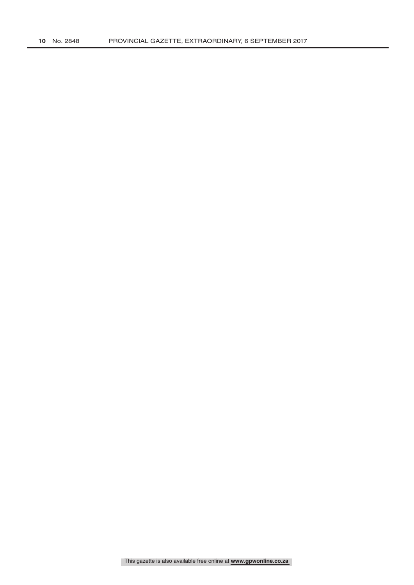This gazette is also available free online at **www.gpwonline.co.za**